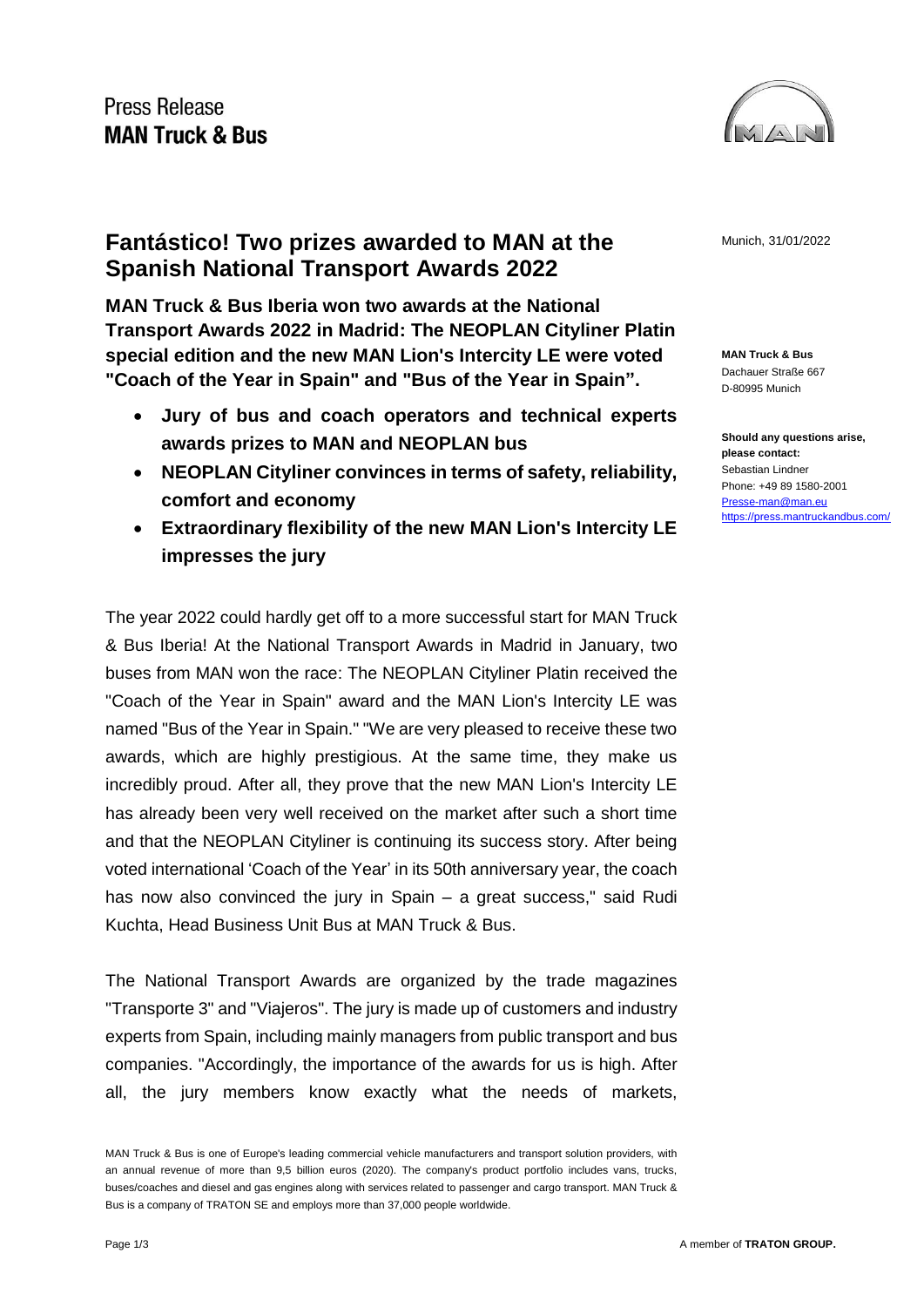

**Fantástico! Two prizes awarded to MAN at the Munich, 31/01/2022 Spanish National Transport Awards 2022**

**MAN Truck & Bus Iberia won two awards at the National Transport Awards 2022 in Madrid: The NEOPLAN Cityliner Platin special edition and the new MAN Lion's Intercity LE were voted "Coach of the Year in Spain" and "Bus of the Year in Spain".**

- **Jury of bus and coach operators and technical experts awards prizes to MAN and NEOPLAN bus**
- **NEOPLAN Cityliner convinces in terms of safety, reliability, comfort and economy**
- **Extraordinary flexibility of the new MAN Lion's Intercity LE impresses the jury**

The year 2022 could hardly get off to a more successful start for MAN Truck & Bus Iberia! At the National Transport Awards in Madrid in January, two buses from MAN won the race: The NEOPLAN Cityliner Platin received the "Coach of the Year in Spain" award and the MAN Lion's Intercity LE was named "Bus of the Year in Spain." "We are very pleased to receive these two awards, which are highly prestigious. At the same time, they make us incredibly proud. After all, they prove that the new MAN Lion's Intercity LE has already been very well received on the market after such a short time and that the NEOPLAN Cityliner is continuing its success story. After being voted international 'Coach of the Year' in its 50th anniversary year, the coach has now also convinced the jury in Spain – a great success," said Rudi Kuchta, Head Business Unit Bus at MAN Truck & Bus.

The National Transport Awards are organized by the trade magazines "Transporte 3" and "Viajeros". The jury is made up of customers and industry experts from Spain, including mainly managers from public transport and bus companies. "Accordingly, the importance of the awards for us is high. After all, the jury members know exactly what the needs of markets,

**MAN Truck & Bus** Dachauer Straße 667 D-80995 Munich

**Should any questions arise, please contact:** Sebastian Lindner Phone: +49 89 1580-2001 [Presse-man@man.eu](mailto:Presse-man@man.eu) <https://press.mantruckandbus.com/>

MAN Truck & Bus is one of Europe's leading commercial vehicle manufacturers and transport solution providers, with an annual revenue of more than 9,5 billion euros (2020). The company's product portfolio includes vans, trucks, buses/coaches and diesel and gas engines along with services related to passenger and cargo transport. MAN Truck & Bus is a company of TRATON SE and employs more than 37,000 people worldwide.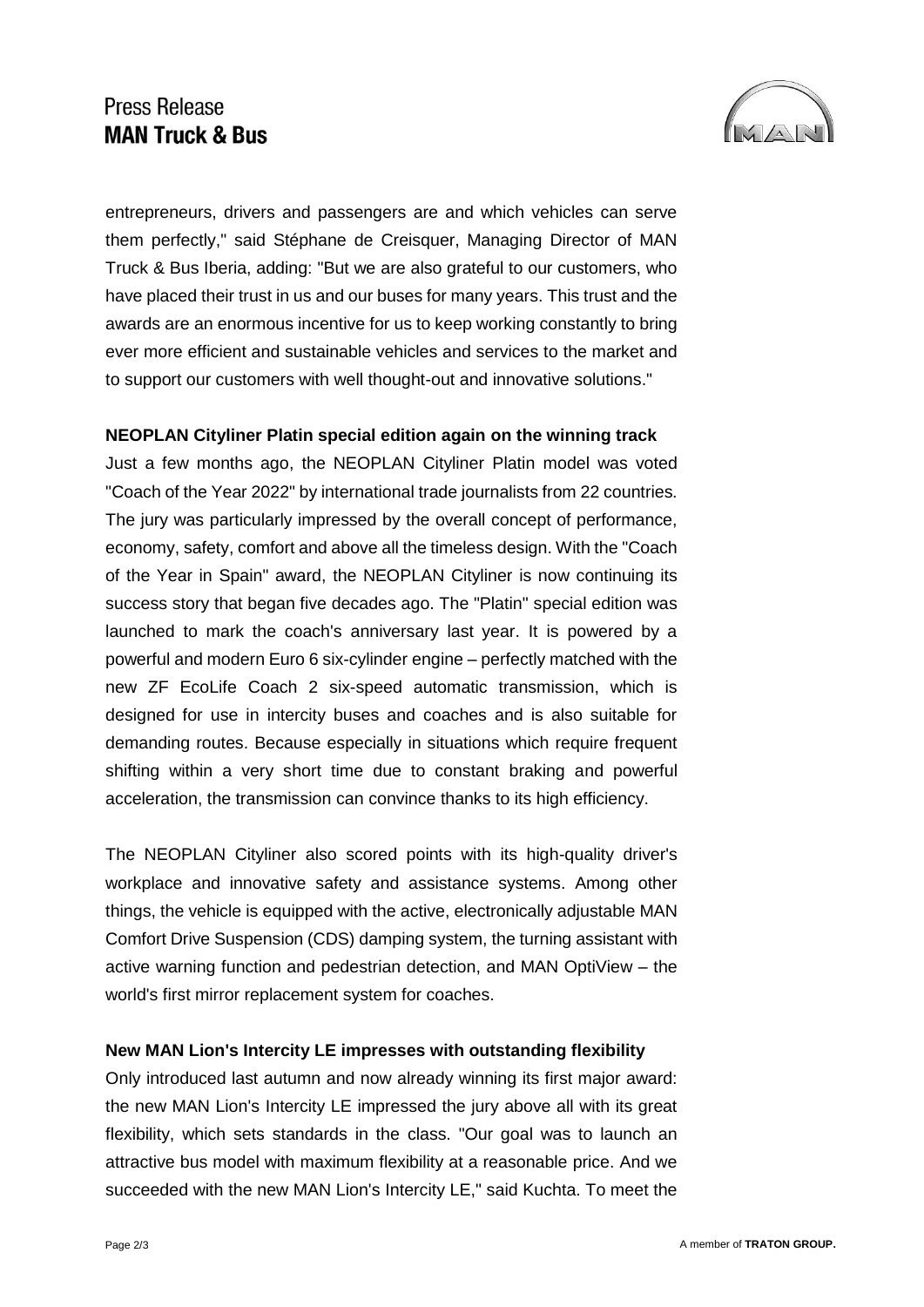# Press Release **MAN Truck & Bus**



entrepreneurs, drivers and passengers are and which vehicles can serve them perfectly," said Stéphane de Creisquer, Managing Director of MAN Truck & Bus Iberia, adding: "But we are also grateful to our customers, who have placed their trust in us and our buses for many years. This trust and the awards are an enormous incentive for us to keep working constantly to bring ever more efficient and sustainable vehicles and services to the market and to support our customers with well thought-out and innovative solutions."

#### **NEOPLAN Cityliner Platin special edition again on the winning track**

Just a few months ago, the NEOPLAN Cityliner Platin model was voted "Coach of the Year 2022" by international trade journalists from 22 countries. The jury was particularly impressed by the overall concept of performance, economy, safety, comfort and above all the timeless design. With the "Coach of the Year in Spain" award, the NEOPLAN Cityliner is now continuing its success story that began five decades ago. The "Platin" special edition was launched to mark the coach's anniversary last year. It is powered by a powerful and modern Euro 6 six-cylinder engine – perfectly matched with the new ZF EcoLife Coach 2 six-speed automatic transmission, which is designed for use in intercity buses and coaches and is also suitable for demanding routes. Because especially in situations which require frequent shifting within a very short time due to constant braking and powerful acceleration, the transmission can convince thanks to its high efficiency.

The NEOPLAN Cityliner also scored points with its high-quality driver's workplace and innovative safety and assistance systems. Among other things, the vehicle is equipped with the active, electronically adjustable MAN Comfort Drive Suspension (CDS) damping system, the turning assistant with active warning function and pedestrian detection, and MAN OptiView – the world's first mirror replacement system for coaches.

### **New MAN Lion's Intercity LE impresses with outstanding flexibility**

Only introduced last autumn and now already winning its first major award: the new MAN Lion's Intercity LE impressed the jury above all with its great flexibility, which sets standards in the class. "Our goal was to launch an attractive bus model with maximum flexibility at a reasonable price. And we succeeded with the new MAN Lion's Intercity LE," said Kuchta. To meet the